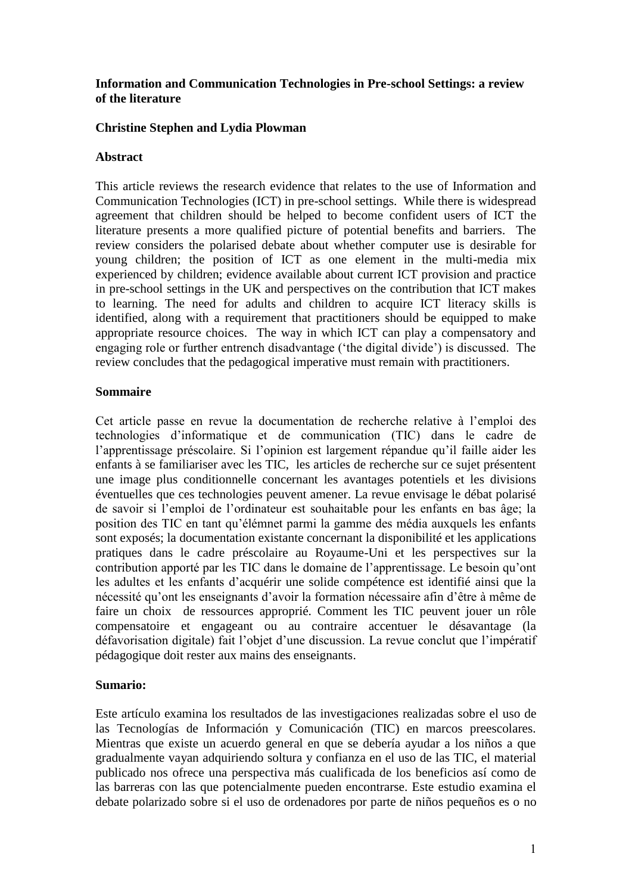### **Information and Communication Technologies in Pre-school Settings: a review of the literature**

### **Christine Stephen and Lydia Plowman**

#### **Abstract**

This article reviews the research evidence that relates to the use of Information and Communication Technologies (ICT) in pre-school settings. While there is widespread agreement that children should be helped to become confident users of ICT the literature presents a more qualified picture of potential benefits and barriers. The review considers the polarised debate about whether computer use is desirable for young children; the position of ICT as one element in the multi-media mix experienced by children; evidence available about current ICT provision and practice in pre-school settings in the UK and perspectives on the contribution that ICT makes to learning. The need for adults and children to acquire ICT literacy skills is identified, along with a requirement that practitioners should be equipped to make appropriate resource choices. The way in which ICT can play a compensatory and engaging role or further entrench disadvantage ('the digital divide') is discussed. The review concludes that the pedagogical imperative must remain with practitioners.

### **Sommaire**

Cet article passe en revue la documentation de recherche relative à l'emploi des technologies d'informatique et de communication (TIC) dans le cadre de l'apprentissage préscolaire. Si l'opinion est largement répandue qu'il faille aider les enfants à se familiariser avec les TIC, les articles de recherche sur ce sujet présentent une image plus conditionnelle concernant les avantages potentiels et les divisions éventuelles que ces technologies peuvent amener. La revue envisage le débat polarisé de savoir si l'emploi de l'ordinateur est souhaitable pour les enfants en bas âge; la position des TIC en tant qu'élémnet parmi la gamme des média auxquels les enfants sont exposés; la documentation existante concernant la disponibilité et les applications pratiques dans le cadre préscolaire au Royaume-Uni et les perspectives sur la contribution apporté par les TIC dans le domaine de l'apprentissage. Le besoin qu'ont les adultes et les enfants d'acquérir une solide compétence est identifié ainsi que la nécessité qu'ont les enseignants d'avoir la formation nécessaire afin d'être à même de faire un choix de ressources approprié. Comment les TIC peuvent jouer un rôle compensatoire et engageant ou au contraire accentuer le désavantage (la défavorisation digitale) fait l'objet d'une discussion. La revue conclut que l'impératif pédagogique doit rester aux mains des enseignants.

#### **Sumario:**

Este artículo examina los resultados de las investigaciones realizadas sobre el uso de las Tecnologías de Información y Comunicación (TIC) en marcos preescolares. Mientras que existe un acuerdo general en que se debería ayudar a los niños a que gradualmente vayan adquiriendo soltura y confianza en el uso de las TIC, el material publicado nos ofrece una perspectiva más cualificada de los beneficios así como de las barreras con las que potencialmente pueden encontrarse. Este estudio examina el debate polarizado sobre si el uso de ordenadores por parte de niños pequeños es o no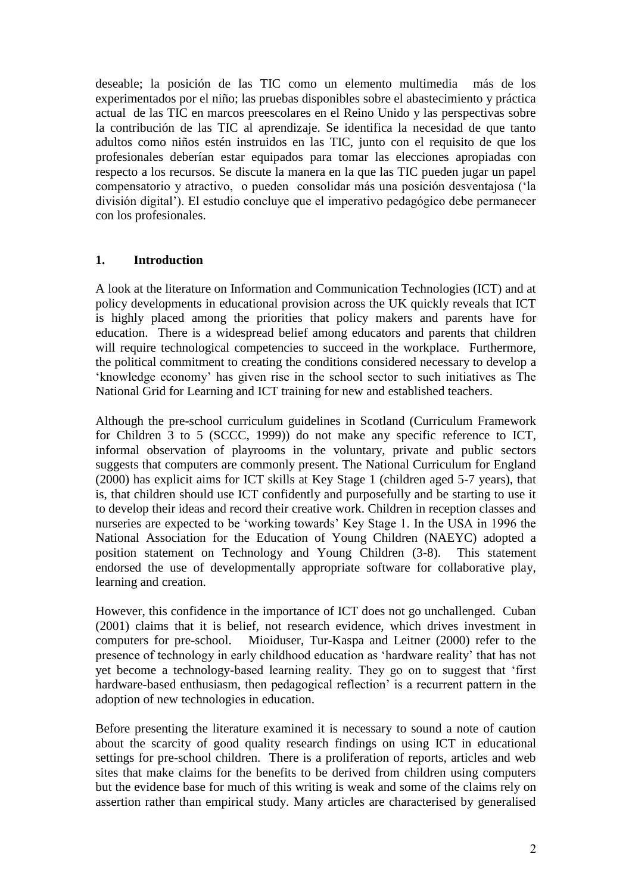deseable; la posición de las TIC como un elemento multimedia más de los experimentados por el niño; las pruebas disponibles sobre el abastecimiento y práctica actual de las TIC en marcos preescolares en el Reino Unido y las perspectivas sobre la contribución de las TIC al aprendizaje. Se identifica la necesidad de que tanto adultos como niños estén instruidos en las TIC, junto con el requisito de que los profesionales deberían estar equipados para tomar las elecciones apropiadas con respecto a los recursos. Se discute la manera en la que las TIC pueden jugar un papel compensatorio y atractivo, o pueden consolidar más una posición desventajosa ('la división digital'). El estudio concluye que el imperativo pedagógico debe permanecer con los profesionales.

## **1. Introduction**

A look at the literature on Information and Communication Technologies (ICT) and at policy developments in educational provision across the UK quickly reveals that ICT is highly placed among the priorities that policy makers and parents have for education. There is a widespread belief among educators and parents that children will require technological competencies to succeed in the workplace. Furthermore, the political commitment to creating the conditions considered necessary to develop a 'knowledge economy' has given rise in the school sector to such initiatives as The National Grid for Learning and ICT training for new and established teachers.

Although the pre-school curriculum guidelines in Scotland (Curriculum Framework for Children 3 to 5 (SCCC, 1999)) do not make any specific reference to ICT, informal observation of playrooms in the voluntary, private and public sectors suggests that computers are commonly present. The National Curriculum for England (2000) has explicit aims for ICT skills at Key Stage 1 (children aged 5-7 years), that is, that children should use ICT confidently and purposefully and be starting to use it to develop their ideas and record their creative work. Children in reception classes and nurseries are expected to be 'working towards' Key Stage 1. In the USA in 1996 the National Association for the Education of Young Children (NAEYC) adopted a position statement on Technology and Young Children (3-8). This statement endorsed the use of developmentally appropriate software for collaborative play, learning and creation.

However, this confidence in the importance of ICT does not go unchallenged. Cuban (2001) claims that it is belief, not research evidence, which drives investment in computers for pre-school. Mioiduser, Tur-Kaspa and Leitner (2000) refer to the presence of technology in early childhood education as 'hardware reality' that has not yet become a technology-based learning reality. They go on to suggest that 'first hardware-based enthusiasm, then pedagogical reflection' is a recurrent pattern in the adoption of new technologies in education.

Before presenting the literature examined it is necessary to sound a note of caution about the scarcity of good quality research findings on using ICT in educational settings for pre-school children. There is a proliferation of reports, articles and web sites that make claims for the benefits to be derived from children using computers but the evidence base for much of this writing is weak and some of the claims rely on assertion rather than empirical study. Many articles are characterised by generalised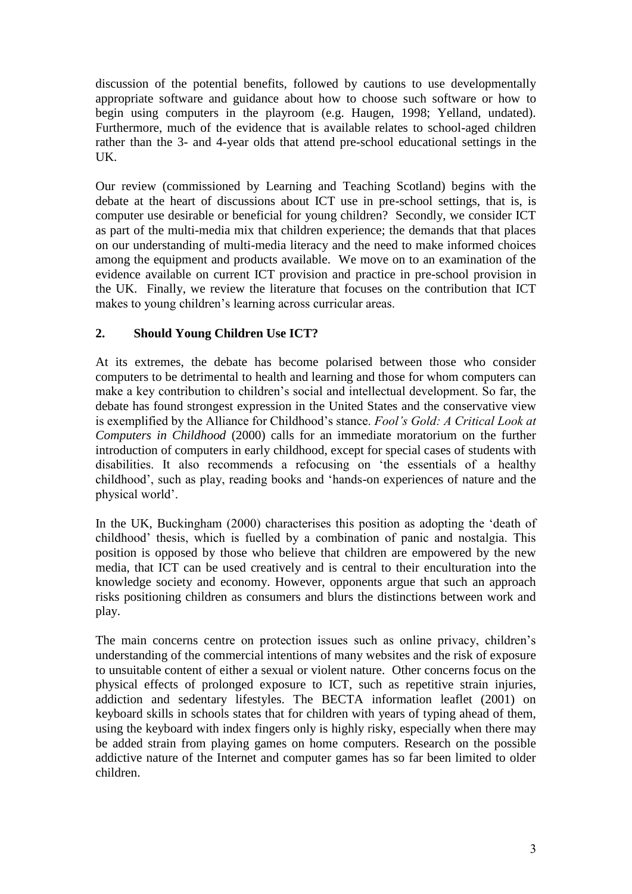discussion of the potential benefits, followed by cautions to use developmentally appropriate software and guidance about how to choose such software or how to begin using computers in the playroom (e.g. Haugen, 1998; Yelland, undated). Furthermore, much of the evidence that is available relates to school-aged children rather than the 3- and 4-year olds that attend pre-school educational settings in the UK.

Our review (commissioned by Learning and Teaching Scotland) begins with the debate at the heart of discussions about ICT use in pre-school settings, that is, is computer use desirable or beneficial for young children? Secondly, we consider ICT as part of the multi-media mix that children experience; the demands that that places on our understanding of multi-media literacy and the need to make informed choices among the equipment and products available. We move on to an examination of the evidence available on current ICT provision and practice in pre-school provision in the UK. Finally, we review the literature that focuses on the contribution that ICT makes to young children's learning across curricular areas.

# **2. Should Young Children Use ICT?**

At its extremes, the debate has become polarised between those who consider computers to be detrimental to health and learning and those for whom computers can make a key contribution to children's social and intellectual development. So far, the debate has found strongest expression in the United States and the conservative view is exemplified by the Alliance for Childhood's stance. *Fool's Gold: A Critical Look at Computers in Childhood* (2000) calls for an immediate moratorium on the further introduction of computers in early childhood, except for special cases of students with disabilities. It also recommends a refocusing on 'the essentials of a healthy childhood', such as play, reading books and 'hands-on experiences of nature and the physical world'.

In the UK, Buckingham (2000) characterises this position as adopting the 'death of childhood' thesis, which is fuelled by a combination of panic and nostalgia. This position is opposed by those who believe that children are empowered by the new media, that ICT can be used creatively and is central to their enculturation into the knowledge society and economy. However, opponents argue that such an approach risks positioning children as consumers and blurs the distinctions between work and play.

The main concerns centre on protection issues such as online privacy, children's understanding of the commercial intentions of many websites and the risk of exposure to unsuitable content of either a sexual or violent nature. Other concerns focus on the physical effects of prolonged exposure to ICT, such as repetitive strain injuries, addiction and sedentary lifestyles. The BECTA information leaflet (2001) on keyboard skills in schools states that for children with years of typing ahead of them, using the keyboard with index fingers only is highly risky, especially when there may be added strain from playing games on home computers. Research on the possible addictive nature of the Internet and computer games has so far been limited to older children.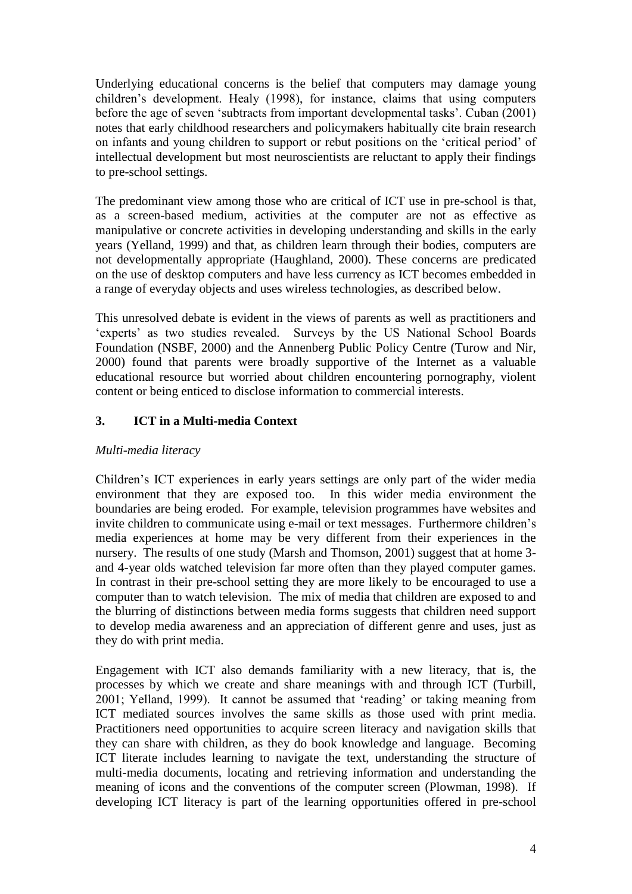Underlying educational concerns is the belief that computers may damage young children's development. Healy (1998), for instance, claims that using computers before the age of seven 'subtracts from important developmental tasks'. Cuban (2001) notes that early childhood researchers and policymakers habitually cite brain research on infants and young children to support or rebut positions on the 'critical period' of intellectual development but most neuroscientists are reluctant to apply their findings to pre-school settings.

The predominant view among those who are critical of ICT use in pre-school is that, as a screen-based medium, activities at the computer are not as effective as manipulative or concrete activities in developing understanding and skills in the early years (Yelland, 1999) and that, as children learn through their bodies, computers are not developmentally appropriate (Haughland, 2000). These concerns are predicated on the use of desktop computers and have less currency as ICT becomes embedded in a range of everyday objects and uses wireless technologies, as described below.

This unresolved debate is evident in the views of parents as well as practitioners and 'experts' as two studies revealed. Surveys by the US National School Boards Foundation (NSBF, 2000) and the Annenberg Public Policy Centre (Turow and Nir, 2000) found that parents were broadly supportive of the Internet as a valuable educational resource but worried about children encountering pornography, violent content or being enticed to disclose information to commercial interests.

## **3. ICT in a Multi-media Context**

## *Multi-media literacy*

Children's ICT experiences in early years settings are only part of the wider media environment that they are exposed too. In this wider media environment the boundaries are being eroded. For example, television programmes have websites and invite children to communicate using e-mail or text messages. Furthermore children's media experiences at home may be very different from their experiences in the nursery. The results of one study (Marsh and Thomson, 2001) suggest that at home 3 and 4-year olds watched television far more often than they played computer games. In contrast in their pre-school setting they are more likely to be encouraged to use a computer than to watch television. The mix of media that children are exposed to and the blurring of distinctions between media forms suggests that children need support to develop media awareness and an appreciation of different genre and uses, just as they do with print media.

Engagement with ICT also demands familiarity with a new literacy, that is, the processes by which we create and share meanings with and through ICT (Turbill, 2001; Yelland, 1999). It cannot be assumed that 'reading' or taking meaning from ICT mediated sources involves the same skills as those used with print media. Practitioners need opportunities to acquire screen literacy and navigation skills that they can share with children, as they do book knowledge and language. Becoming ICT literate includes learning to navigate the text, understanding the structure of multi-media documents, locating and retrieving information and understanding the meaning of icons and the conventions of the computer screen (Plowman, 1998). If developing ICT literacy is part of the learning opportunities offered in pre-school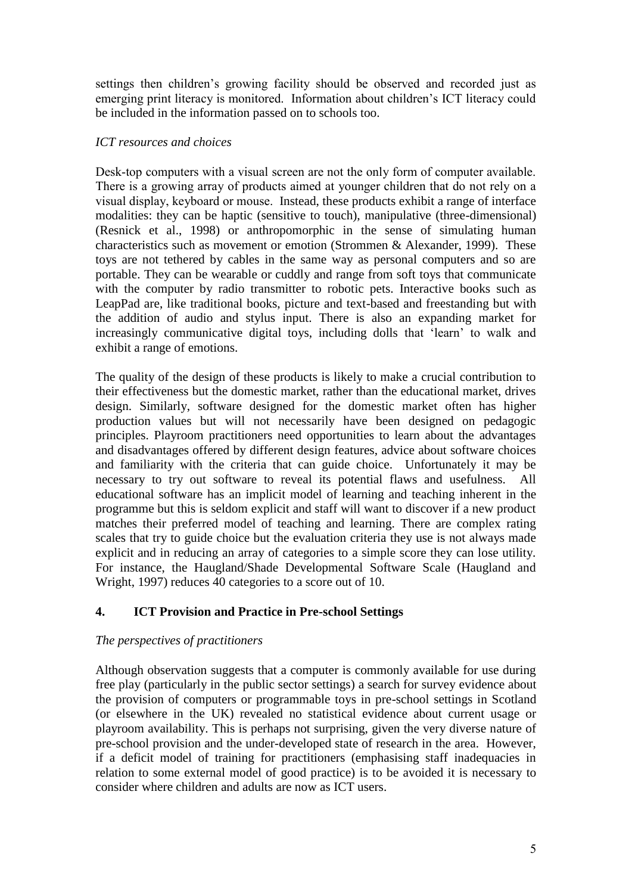settings then children's growing facility should be observed and recorded just as emerging print literacy is monitored. Information about children's ICT literacy could be included in the information passed on to schools too.

## *ICT resources and choices*

Desk-top computers with a visual screen are not the only form of computer available. There is a growing array of products aimed at younger children that do not rely on a visual display, keyboard or mouse. Instead, these products exhibit a range of interface modalities: they can be haptic (sensitive to touch), manipulative (three-dimensional) (Resnick et al., 1998) or anthropomorphic in the sense of simulating human characteristics such as movement or emotion (Strommen & Alexander, 1999). These toys are not tethered by cables in the same way as personal computers and so are portable. They can be wearable or cuddly and range from soft toys that communicate with the computer by radio transmitter to robotic pets. Interactive books such as LeapPad are, like traditional books, picture and text-based and freestanding but with the addition of audio and stylus input. There is also an expanding market for increasingly communicative digital toys, including dolls that 'learn' to walk and exhibit a range of emotions.

The quality of the design of these products is likely to make a crucial contribution to their effectiveness but the domestic market, rather than the educational market, drives design. Similarly, software designed for the domestic market often has higher production values but will not necessarily have been designed on pedagogic principles. Playroom practitioners need opportunities to learn about the advantages and disadvantages offered by different design features, advice about software choices and familiarity with the criteria that can guide choice. Unfortunately it may be necessary to try out software to reveal its potential flaws and usefulness. All educational software has an implicit model of learning and teaching inherent in the programme but this is seldom explicit and staff will want to discover if a new product matches their preferred model of teaching and learning. There are complex rating scales that try to guide choice but the evaluation criteria they use is not always made explicit and in reducing an array of categories to a simple score they can lose utility. For instance, the Haugland/Shade Developmental Software Scale (Haugland and Wright, 1997) reduces 40 categories to a score out of 10.

# **4. ICT Provision and Practice in Pre-school Settings**

## *The perspectives of practitioners*

Although observation suggests that a computer is commonly available for use during free play (particularly in the public sector settings) a search for survey evidence about the provision of computers or programmable toys in pre-school settings in Scotland (or elsewhere in the UK) revealed no statistical evidence about current usage or playroom availability. This is perhaps not surprising, given the very diverse nature of pre-school provision and the under-developed state of research in the area. However, if a deficit model of training for practitioners (emphasising staff inadequacies in relation to some external model of good practice) is to be avoided it is necessary to consider where children and adults are now as ICT users.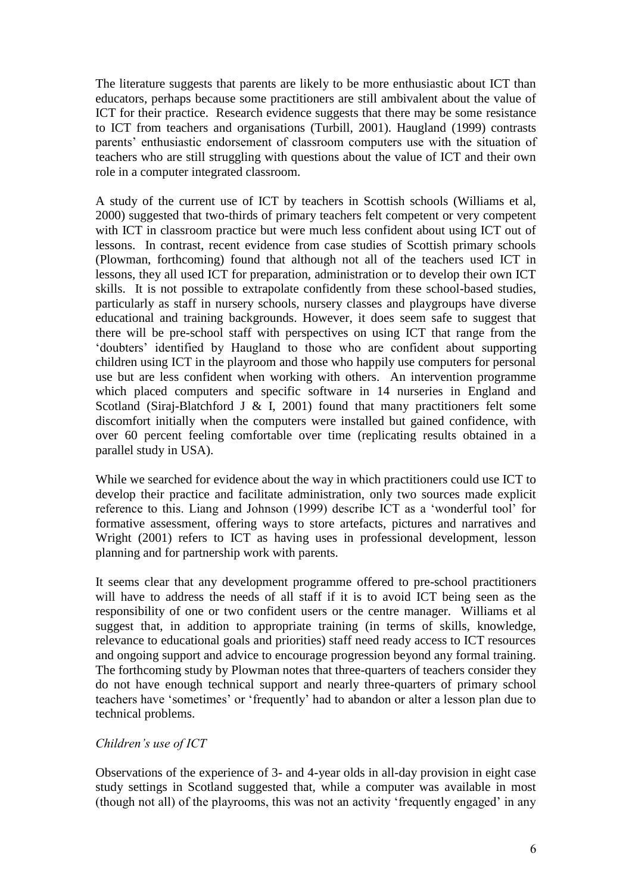The literature suggests that parents are likely to be more enthusiastic about ICT than educators, perhaps because some practitioners are still ambivalent about the value of ICT for their practice. Research evidence suggests that there may be some resistance to ICT from teachers and organisations (Turbill, 2001). Haugland (1999) contrasts parents' enthusiastic endorsement of classroom computers use with the situation of teachers who are still struggling with questions about the value of ICT and their own role in a computer integrated classroom.

A study of the current use of ICT by teachers in Scottish schools (Williams et al, 2000) suggested that two-thirds of primary teachers felt competent or very competent with ICT in classroom practice but were much less confident about using ICT out of lessons. In contrast, recent evidence from case studies of Scottish primary schools (Plowman, forthcoming) found that although not all of the teachers used ICT in lessons, they all used ICT for preparation, administration or to develop their own ICT skills. It is not possible to extrapolate confidently from these school-based studies, particularly as staff in nursery schools, nursery classes and playgroups have diverse educational and training backgrounds. However, it does seem safe to suggest that there will be pre-school staff with perspectives on using ICT that range from the 'doubters' identified by Haugland to those who are confident about supporting children using ICT in the playroom and those who happily use computers for personal use but are less confident when working with others. An intervention programme which placed computers and specific software in 14 nurseries in England and Scotland (Siraj-Blatchford J  $\&$  I, 2001) found that many practitioners felt some discomfort initially when the computers were installed but gained confidence, with over 60 percent feeling comfortable over time (replicating results obtained in a parallel study in USA).

While we searched for evidence about the way in which practitioners could use ICT to develop their practice and facilitate administration, only two sources made explicit reference to this. Liang and Johnson (1999) describe ICT as a 'wonderful tool' for formative assessment, offering ways to store artefacts, pictures and narratives and Wright (2001) refers to ICT as having uses in professional development, lesson planning and for partnership work with parents.

It seems clear that any development programme offered to pre-school practitioners will have to address the needs of all staff if it is to avoid ICT being seen as the responsibility of one or two confident users or the centre manager. Williams et al suggest that, in addition to appropriate training (in terms of skills, knowledge, relevance to educational goals and priorities) staff need ready access to ICT resources and ongoing support and advice to encourage progression beyond any formal training. The forthcoming study by Plowman notes that three-quarters of teachers consider they do not have enough technical support and nearly three-quarters of primary school teachers have 'sometimes' or 'frequently' had to abandon or alter a lesson plan due to technical problems.

## *Children's use of ICT*

Observations of the experience of 3- and 4-year olds in all-day provision in eight case study settings in Scotland suggested that, while a computer was available in most (though not all) of the playrooms, this was not an activity 'frequently engaged' in any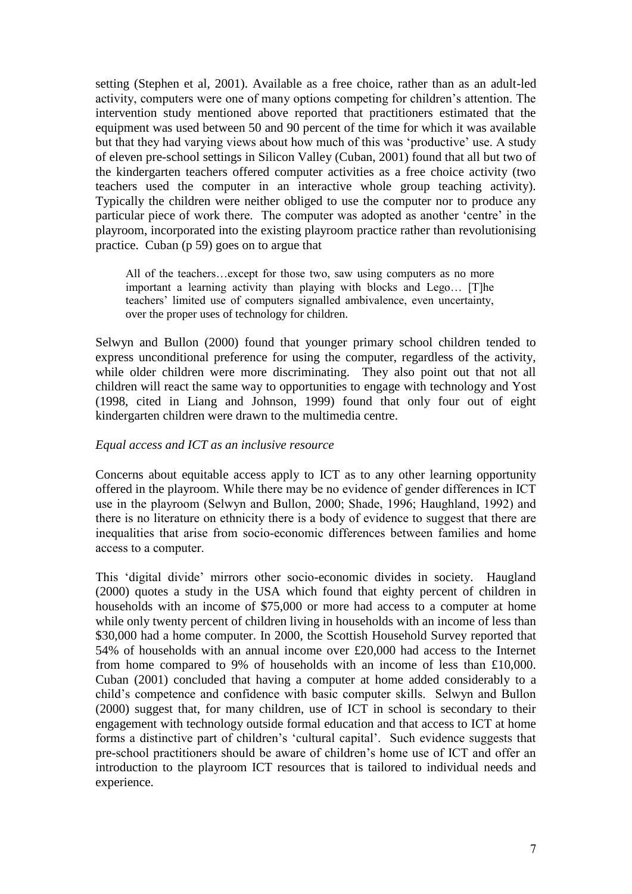setting (Stephen et al, 2001). Available as a free choice, rather than as an adult-led activity, computers were one of many options competing for children's attention. The intervention study mentioned above reported that practitioners estimated that the equipment was used between 50 and 90 percent of the time for which it was available but that they had varying views about how much of this was 'productive' use. A study of eleven pre-school settings in Silicon Valley (Cuban, 2001) found that all but two of the kindergarten teachers offered computer activities as a free choice activity (two teachers used the computer in an interactive whole group teaching activity). Typically the children were neither obliged to use the computer nor to produce any particular piece of work there. The computer was adopted as another 'centre' in the playroom, incorporated into the existing playroom practice rather than revolutionising practice. Cuban (p 59) goes on to argue that

All of the teachers…except for those two, saw using computers as no more important a learning activity than playing with blocks and Lego… [T]he teachers' limited use of computers signalled ambivalence, even uncertainty, over the proper uses of technology for children.

Selwyn and Bullon (2000) found that younger primary school children tended to express unconditional preference for using the computer, regardless of the activity, while older children were more discriminating. They also point out that not all children will react the same way to opportunities to engage with technology and Yost (1998, cited in Liang and Johnson, 1999) found that only four out of eight kindergarten children were drawn to the multimedia centre.

#### *Equal access and ICT as an inclusive resource*

Concerns about equitable access apply to ICT as to any other learning opportunity offered in the playroom. While there may be no evidence of gender differences in ICT use in the playroom (Selwyn and Bullon, 2000; Shade, 1996; Haughland, 1992) and there is no literature on ethnicity there is a body of evidence to suggest that there are inequalities that arise from socio-economic differences between families and home access to a computer.

This 'digital divide' mirrors other socio-economic divides in society. Haugland (2000) quotes a study in the USA which found that eighty percent of children in households with an income of \$75,000 or more had access to a computer at home while only twenty percent of children living in households with an income of less than \$30,000 had a home computer. In 2000, the Scottish Household Survey reported that 54% of households with an annual income over £20,000 had access to the Internet from home compared to 9% of households with an income of less than £10,000. Cuban (2001) concluded that having a computer at home added considerably to a child's competence and confidence with basic computer skills. Selwyn and Bullon (2000) suggest that, for many children, use of ICT in school is secondary to their engagement with technology outside formal education and that access to ICT at home forms a distinctive part of children's 'cultural capital'. Such evidence suggests that pre-school practitioners should be aware of children's home use of ICT and offer an introduction to the playroom ICT resources that is tailored to individual needs and experience.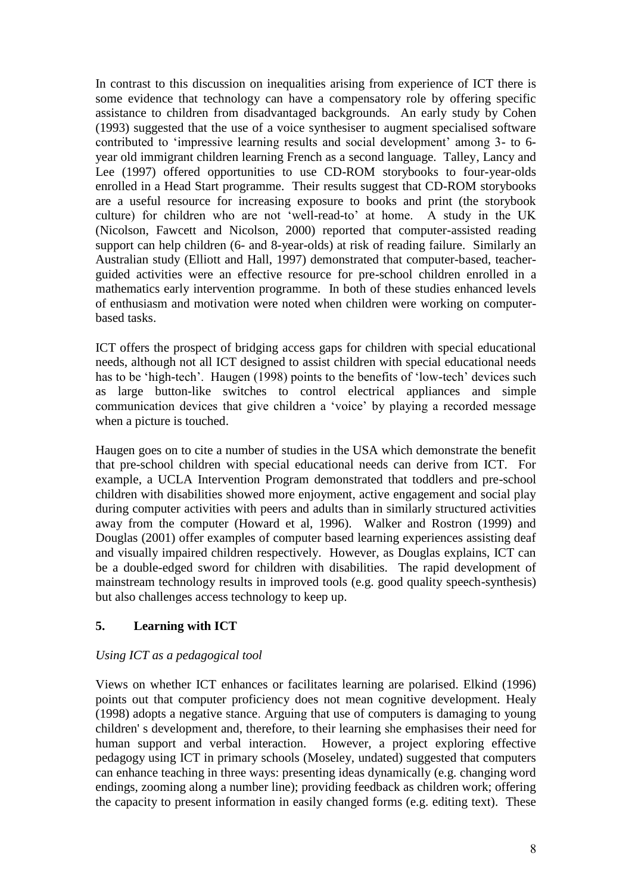In contrast to this discussion on inequalities arising from experience of ICT there is some evidence that technology can have a compensatory role by offering specific assistance to children from disadvantaged backgrounds. An early study by Cohen (1993) suggested that the use of a voice synthesiser to augment specialised software contributed to 'impressive learning results and social development' among 3- to 6 year old immigrant children learning French as a second language. Talley, Lancy and Lee (1997) offered opportunities to use CD-ROM storybooks to four-year-olds enrolled in a Head Start programme. Their results suggest that CD-ROM storybooks are a useful resource for increasing exposure to books and print (the storybook culture) for children who are not 'well-read-to' at home. A study in the UK (Nicolson, Fawcett and Nicolson, 2000) reported that computer-assisted reading support can help children (6- and 8-year-olds) at risk of reading failure. Similarly an Australian study (Elliott and Hall, 1997) demonstrated that computer-based, teacherguided activities were an effective resource for pre-school children enrolled in a mathematics early intervention programme. In both of these studies enhanced levels of enthusiasm and motivation were noted when children were working on computerbased tasks.

ICT offers the prospect of bridging access gaps for children with special educational needs, although not all ICT designed to assist children with special educational needs has to be 'high-tech'. Haugen (1998) points to the benefits of 'low-tech' devices such as large button-like switches to control electrical appliances and simple communication devices that give children a 'voice' by playing a recorded message when a picture is touched.

Haugen goes on to cite a number of studies in the USA which demonstrate the benefit that pre-school children with special educational needs can derive from ICT. For example, a UCLA Intervention Program demonstrated that toddlers and pre-school children with disabilities showed more enjoyment, active engagement and social play during computer activities with peers and adults than in similarly structured activities away from the computer (Howard et al, 1996). Walker and Rostron (1999) and Douglas (2001) offer examples of computer based learning experiences assisting deaf and visually impaired children respectively. However, as Douglas explains, ICT can be a double-edged sword for children with disabilities. The rapid development of mainstream technology results in improved tools (e.g. good quality speech-synthesis) but also challenges access technology to keep up.

# **5. Learning with ICT**

## *Using ICT as a pedagogical tool*

Views on whether ICT enhances or facilitates learning are polarised. Elkind (1996) points out that computer proficiency does not mean cognitive development. Healy (1998) adopts a negative stance. Arguing that use of computers is damaging to young children' s development and, therefore, to their learning she emphasises their need for human support and verbal interaction. However, a project exploring effective pedagogy using ICT in primary schools (Moseley, undated) suggested that computers can enhance teaching in three ways: presenting ideas dynamically (e.g. changing word endings, zooming along a number line); providing feedback as children work; offering the capacity to present information in easily changed forms (e.g. editing text). These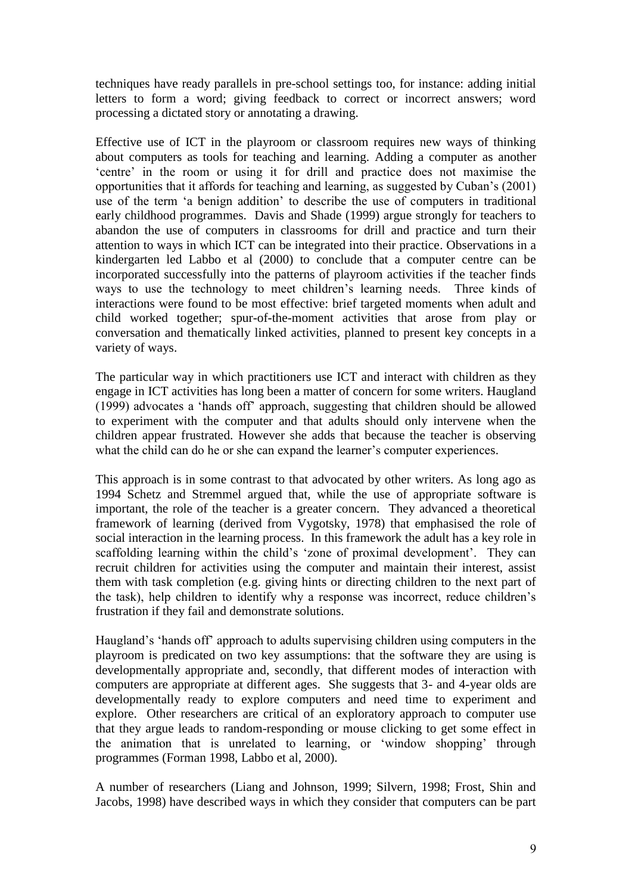techniques have ready parallels in pre-school settings too, for instance: adding initial letters to form a word; giving feedback to correct or incorrect answers; word processing a dictated story or annotating a drawing.

Effective use of ICT in the playroom or classroom requires new ways of thinking about computers as tools for teaching and learning. Adding a computer as another 'centre' in the room or using it for drill and practice does not maximise the opportunities that it affords for teaching and learning, as suggested by Cuban's (2001) use of the term 'a benign addition' to describe the use of computers in traditional early childhood programmes. Davis and Shade (1999) argue strongly for teachers to abandon the use of computers in classrooms for drill and practice and turn their attention to ways in which ICT can be integrated into their practice. Observations in a kindergarten led Labbo et al (2000) to conclude that a computer centre can be incorporated successfully into the patterns of playroom activities if the teacher finds ways to use the technology to meet children's learning needs. Three kinds of interactions were found to be most effective: brief targeted moments when adult and child worked together; spur-of-the-moment activities that arose from play or conversation and thematically linked activities, planned to present key concepts in a variety of ways.

The particular way in which practitioners use ICT and interact with children as they engage in ICT activities has long been a matter of concern for some writers. Haugland (1999) advocates a 'hands off' approach, suggesting that children should be allowed to experiment with the computer and that adults should only intervene when the children appear frustrated. However she adds that because the teacher is observing what the child can do he or she can expand the learner's computer experiences.

This approach is in some contrast to that advocated by other writers. As long ago as 1994 Schetz and Stremmel argued that, while the use of appropriate software is important, the role of the teacher is a greater concern. They advanced a theoretical framework of learning (derived from Vygotsky, 1978) that emphasised the role of social interaction in the learning process. In this framework the adult has a key role in scaffolding learning within the child's 'zone of proximal development'. They can recruit children for activities using the computer and maintain their interest, assist them with task completion (e.g. giving hints or directing children to the next part of the task), help children to identify why a response was incorrect, reduce children's frustration if they fail and demonstrate solutions.

Haugland's 'hands off' approach to adults supervising children using computers in the playroom is predicated on two key assumptions: that the software they are using is developmentally appropriate and, secondly, that different modes of interaction with computers are appropriate at different ages. She suggests that 3- and 4-year olds are developmentally ready to explore computers and need time to experiment and explore. Other researchers are critical of an exploratory approach to computer use that they argue leads to random-responding or mouse clicking to get some effect in the animation that is unrelated to learning, or 'window shopping' through programmes (Forman 1998, Labbo et al, 2000).

A number of researchers (Liang and Johnson, 1999; Silvern, 1998; Frost, Shin and Jacobs, 1998) have described ways in which they consider that computers can be part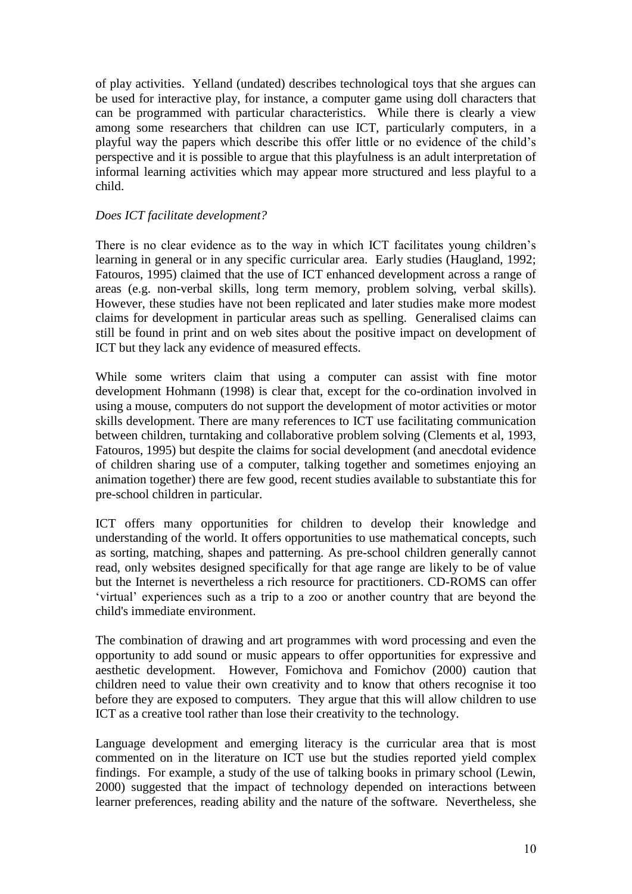of play activities. Yelland (undated) describes technological toys that she argues can be used for interactive play, for instance, a computer game using doll characters that can be programmed with particular characteristics. While there is clearly a view among some researchers that children can use ICT, particularly computers, in a playful way the papers which describe this offer little or no evidence of the child's perspective and it is possible to argue that this playfulness is an adult interpretation of informal learning activities which may appear more structured and less playful to a child.

## *Does ICT facilitate development?*

There is no clear evidence as to the way in which ICT facilitates young children's learning in general or in any specific curricular area. Early studies (Haugland, 1992; Fatouros, 1995) claimed that the use of ICT enhanced development across a range of areas (e.g. non-verbal skills, long term memory, problem solving, verbal skills). However, these studies have not been replicated and later studies make more modest claims for development in particular areas such as spelling. Generalised claims can still be found in print and on web sites about the positive impact on development of ICT but they lack any evidence of measured effects.

While some writers claim that using a computer can assist with fine motor development Hohmann (1998) is clear that, except for the co-ordination involved in using a mouse, computers do not support the development of motor activities or motor skills development. There are many references to ICT use facilitating communication between children, turntaking and collaborative problem solving (Clements et al, 1993, Fatouros, 1995) but despite the claims for social development (and anecdotal evidence of children sharing use of a computer, talking together and sometimes enjoying an animation together) there are few good, recent studies available to substantiate this for pre-school children in particular.

ICT offers many opportunities for children to develop their knowledge and understanding of the world. It offers opportunities to use mathematical concepts, such as sorting, matching, shapes and patterning. As pre-school children generally cannot read, only websites designed specifically for that age range are likely to be of value but the Internet is nevertheless a rich resource for practitioners. CD-ROMS can offer 'virtual' experiences such as a trip to a zoo or another country that are beyond the child's immediate environment.

The combination of drawing and art programmes with word processing and even the opportunity to add sound or music appears to offer opportunities for expressive and aesthetic development. However, Fomichova and Fomichov (2000) caution that children need to value their own creativity and to know that others recognise it too before they are exposed to computers. They argue that this will allow children to use ICT as a creative tool rather than lose their creativity to the technology.

Language development and emerging literacy is the curricular area that is most commented on in the literature on ICT use but the studies reported yield complex findings. For example, a study of the use of talking books in primary school (Lewin, 2000) suggested that the impact of technology depended on interactions between learner preferences, reading ability and the nature of the software. Nevertheless, she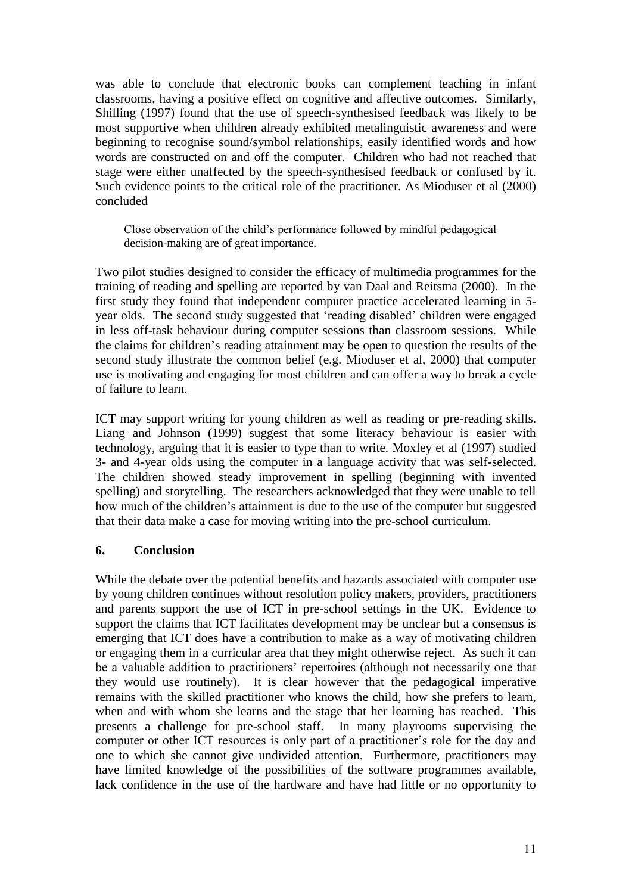was able to conclude that electronic books can complement teaching in infant classrooms, having a positive effect on cognitive and affective outcomes. Similarly, Shilling (1997) found that the use of speech-synthesised feedback was likely to be most supportive when children already exhibited metalinguistic awareness and were beginning to recognise sound/symbol relationships, easily identified words and how words are constructed on and off the computer. Children who had not reached that stage were either unaffected by the speech-synthesised feedback or confused by it. Such evidence points to the critical role of the practitioner. As Mioduser et al (2000) concluded

Close observation of the child's performance followed by mindful pedagogical decision-making are of great importance.

Two pilot studies designed to consider the efficacy of multimedia programmes for the training of reading and spelling are reported by van Daal and Reitsma (2000). In the first study they found that independent computer practice accelerated learning in 5 year olds. The second study suggested that 'reading disabled' children were engaged in less off-task behaviour during computer sessions than classroom sessions. While the claims for children's reading attainment may be open to question the results of the second study illustrate the common belief (e.g. Mioduser et al, 2000) that computer use is motivating and engaging for most children and can offer a way to break a cycle of failure to learn.

ICT may support writing for young children as well as reading or pre-reading skills. Liang and Johnson (1999) suggest that some literacy behaviour is easier with technology, arguing that it is easier to type than to write. Moxley et al (1997) studied 3- and 4-year olds using the computer in a language activity that was self-selected. The children showed steady improvement in spelling (beginning with invented spelling) and storytelling. The researchers acknowledged that they were unable to tell how much of the children's attainment is due to the use of the computer but suggested that their data make a case for moving writing into the pre-school curriculum.

## **6. Conclusion**

While the debate over the potential benefits and hazards associated with computer use by young children continues without resolution policy makers, providers, practitioners and parents support the use of ICT in pre-school settings in the UK. Evidence to support the claims that ICT facilitates development may be unclear but a consensus is emerging that ICT does have a contribution to make as a way of motivating children or engaging them in a curricular area that they might otherwise reject. As such it can be a valuable addition to practitioners' repertoires (although not necessarily one that they would use routinely). It is clear however that the pedagogical imperative remains with the skilled practitioner who knows the child, how she prefers to learn, when and with whom she learns and the stage that her learning has reached. This presents a challenge for pre-school staff. In many playrooms supervising the computer or other ICT resources is only part of a practitioner's role for the day and one to which she cannot give undivided attention. Furthermore, practitioners may have limited knowledge of the possibilities of the software programmes available, lack confidence in the use of the hardware and have had little or no opportunity to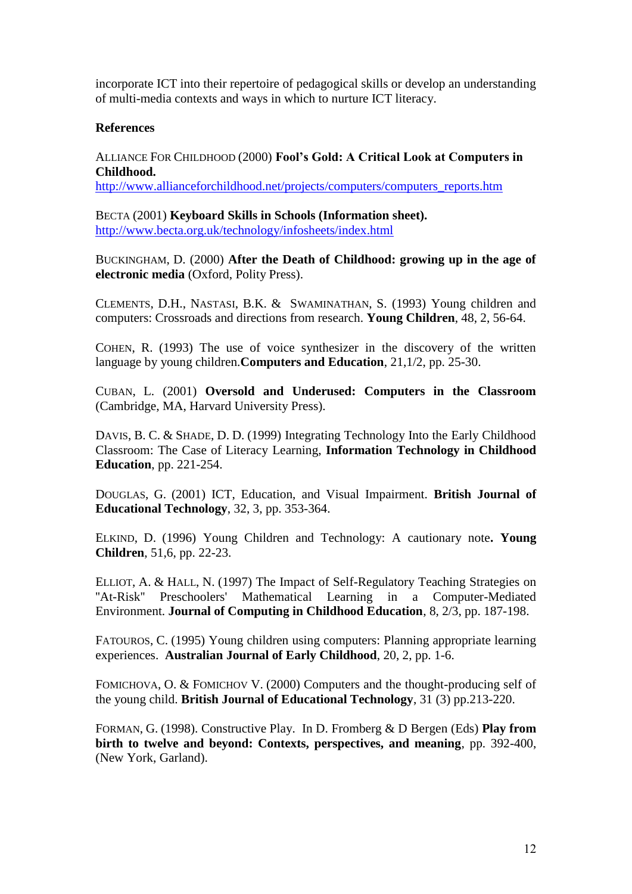incorporate ICT into their repertoire of pedagogical skills or develop an understanding of multi-media contexts and ways in which to nurture ICT literacy.

#### **References**

ALLIANCE FOR CHILDHOOD (2000) **Fool's Gold: A Critical Look at Computers in Childhood.**

[http://www.allianceforchildhood.net/projects/computers/computers\\_reports.htm](http://www.allianceforchildhood.net/projects/computers/computers_reports.htm)

BECTA (2001) **Keyboard Skills in Schools (Information sheet).** <http://www.becta.org.uk/technology/infosheets/index.html>

BUCKINGHAM, D. (2000) **After the Death of Childhood: growing up in the age of electronic media** (Oxford, Polity Press).

CLEMENTS, D.H., NASTASI, B.K. & SWAMINATHAN, S. (1993) Young children and computers: Crossroads and directions from research. **Young Children**, 48, 2, 56-64.

COHEN, R. (1993) The use of voice synthesizer in the discovery of the written language by young children.**Computers and Education**, 21,1/2, pp. 25-30.

CUBAN, L. (2001) **Oversold and Underused: Computers in the Classroom** (Cambridge, MA, Harvard University Press).

DAVIS, B. C. & SHADE, D. D. (1999) Integrating Technology Into the Early Childhood Classroom: The Case of Literacy Learning, **Information Technology in Childhood Education**, pp. 221-254.

DOUGLAS, G. (2001) ICT, Education, and Visual Impairment. **British Journal of Educational Technology**, 32, 3, pp. 353-364.

ELKIND, D. (1996) Young Children and Technology: A cautionary note**. Young Children**, 51,6, pp. 22-23.

ELLIOT, A. & HALL, N. (1997) The Impact of Self-Regulatory Teaching Strategies on ''At-Risk'' Preschoolers' Mathematical Learning in a Computer-Mediated Environment. **Journal of Computing in Childhood Education**, 8, 2/3, pp. 187-198.

FATOUROS, C. (1995) Young children using computers: Planning appropriate learning experiences. **Australian Journal of Early Childhood**, 20, 2, pp. 1-6.

FOMICHOVA, O. & FOMICHOV V. (2000) Computers and the thought-producing self of the young child. **British Journal of Educational Technology**, 31 (3) pp.213-220.

FORMAN, G. (1998). Constructive Play. In D. Fromberg & D Bergen (Eds) **Play from birth to twelve and beyond: Contexts, perspectives, and meaning**, pp. 392-400, (New York, Garland).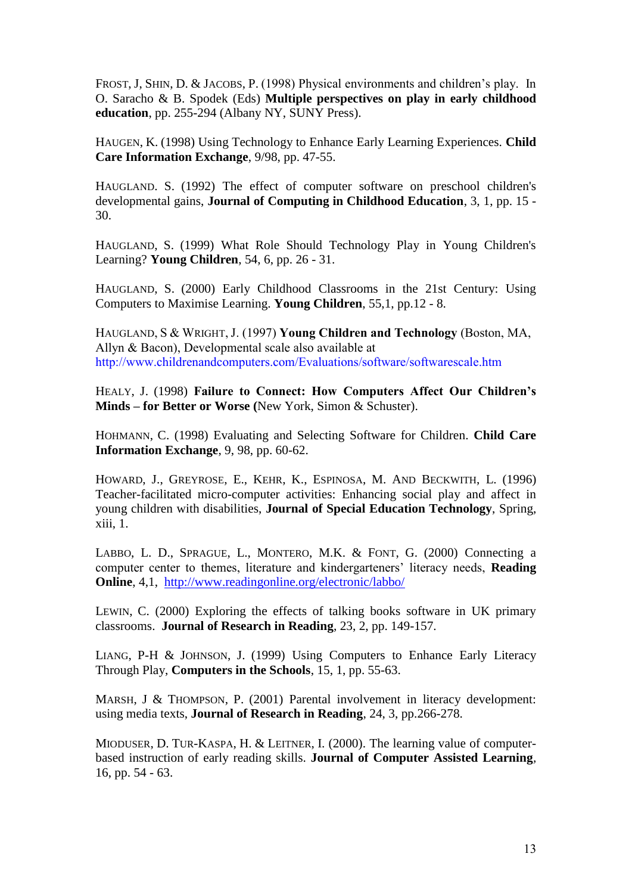FROST, J, SHIN, D. & JACOBS, P. (1998) Physical environments and children's play. In O. Saracho & B. Spodek (Eds) **Multiple perspectives on play in early childhood education**, pp. 255-294 (Albany NY, SUNY Press).

HAUGEN, K. (1998) Using Technology to Enhance Early Learning Experiences. **Child Care Information Exchange**, 9/98, pp. 47-55.

HAUGLAND. S. (1992) The effect of computer software on preschool children's developmental gains, **Journal of Computing in Childhood Education**, 3, 1, pp. 15 - 30.

HAUGLAND, S. (1999) What Role Should Technology Play in Young Children's Learning? **Young Children**, 54, 6, pp. 26 - 31.

HAUGLAND, S. (2000) Early Childhood Classrooms in the 21st Century: Using Computers to Maximise Learning. **Young Children**, 55,1, pp.12 - 8.

HAUGLAND, S & WRIGHT, J. (1997) **Young Children and Technology** (Boston, MA, Allyn & Bacon), Developmental scale also available at http://www.childrenandcomputers.com/Evaluations/software/softwarescale.htm

HEALY, J. (1998) **Failure to Connect: How Computers Affect Our Children's Minds – for Better or Worse (**New York, Simon & Schuster).

HOHMANN, C. (1998) Evaluating and Selecting Software for Children. **Child Care Information Exchange**, 9, 98, pp. 60-62.

HOWARD, J., GREYROSE, E., KEHR, K., ESPINOSA, M. AND BECKWITH, L. (1996) Teacher-facilitated micro-computer activities: Enhancing social play and affect in young children with disabilities, **Journal of Special Education Technology**, Spring, xiii, 1.

LABBO, L. D., SPRAGUE, L., MONTERO, M.K. & FONT, G. (2000) Connecting a computer center to themes, literature and kindergarteners' literacy needs, **Reading Online**, 4,1, <http://www.readingonline.org/electronic/labbo/>

LEWIN, C. (2000) Exploring the effects of talking books software in UK primary classrooms. **Journal of Research in Reading**, 23, 2, pp. 149-157.

LIANG, P-H & JOHNSON, J. (1999) Using Computers to Enhance Early Literacy Through Play, **Computers in the Schools**, 15, 1, pp. 55-63.

MARSH, J & THOMPSON, P. (2001) Parental involvement in literacy development: using media texts, **Journal of Research in Reading**, 24, 3, pp.266-278.

MIODUSER, D. TUR-KASPA, H. & LEITNER, I. (2000). The learning value of computerbased instruction of early reading skills. **Journal of Computer Assisted Learning***,*  16, pp. 54 - 63.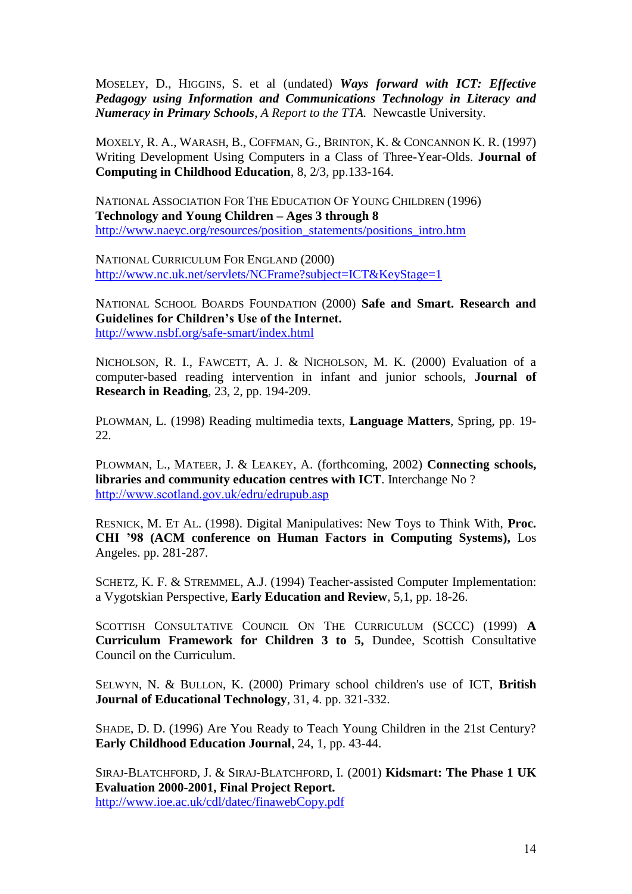MOSELEY, D., HIGGINS, S. et al (undated) *Ways forward with ICT: Effective Pedagogy using Information and Communications Technology in Literacy and Numeracy in Primary Schools*, *A Report to the TTA.* Newcastle University.

MOXELY, R. A., WARASH, B., COFFMAN, G., BRINTON, K. & CONCANNON K. R. (1997) Writing Development Using Computers in a Class of Three-Year-Olds. **Journal of Computing in Childhood Education**, 8, 2/3, pp.133-164.

NATIONAL ASSOCIATION FOR THE EDUCATION OF YOUNG CHILDREN (1996) **Technology and Young Children – Ages 3 through 8** [http://www.naeyc.org/resources/position\\_statements/positions\\_intro.htm](http://www.naeyc.org/resources/position_statements/positions_intro.htm)

NATIONAL CURRICULUM FOR ENGLAND (2000) <http://www.nc.uk.net/servlets/NCFrame?subject=ICT&KeyStage=1>

NATIONAL SCHOOL BOARDS FOUNDATION (2000) **Safe and Smart. Research and Guidelines for Children's Use of the Internet.** <http://www.nsbf.org/safe-smart/index.html>

NICHOLSON, R. I., FAWCETT, A. J. & NICHOLSON, M. K. (2000) Evaluation of a computer-based reading intervention in infant and junior schools, **Journal of Research in Reading**, 23, 2, pp. 194-209.

PLOWMAN, L. (1998) Reading multimedia texts, **Language Matters**, Spring, pp. 19- 22*.*

PLOWMAN, L., MATEER, J. & LEAKEY, A. (forthcoming, 2002) **Connecting schools, libraries and community education centres with ICT**. Interchange No ? <http://www.scotland.gov.uk/edru/edrupub.asp>

RESNICK, M. ET AL. (1998). Digital Manipulatives: New Toys to Think With, **Proc. CHI '98 (ACM conference on Human Factors in Computing Systems),** Los Angeles. pp. 281-287.

SCHETZ, K. F. & STREMMEL, A.J. (1994) Teacher-assisted Computer Implementation: a Vygotskian Perspective, **Early Education and Review**, 5,1, pp. 18-26.

SCOTTISH CONSULTATIVE COUNCIL ON THE CURRICULUM (SCCC) (1999) **A Curriculum Framework for Children 3 to 5,** Dundee, Scottish Consultative Council on the Curriculum.

SELWYN, N. & BULLON, K. (2000) Primary school children's use of ICT, **British Journal of Educational Technology**, 31, 4. pp. 321-332.

SHADE, D. D. (1996) Are You Ready to Teach Young Children in the 21st Century? **Early Childhood Education Journal**, 24, 1, pp. 43-44.

SIRAJ-BLATCHFORD, J. & SIRAJ-BLATCHFORD, I. (2001) **Kidsmart: The Phase 1 UK Evaluation 2000-2001, Final Project Report.** <http://www.ioe.ac.uk/cdl/datec/finawebCopy.pdf>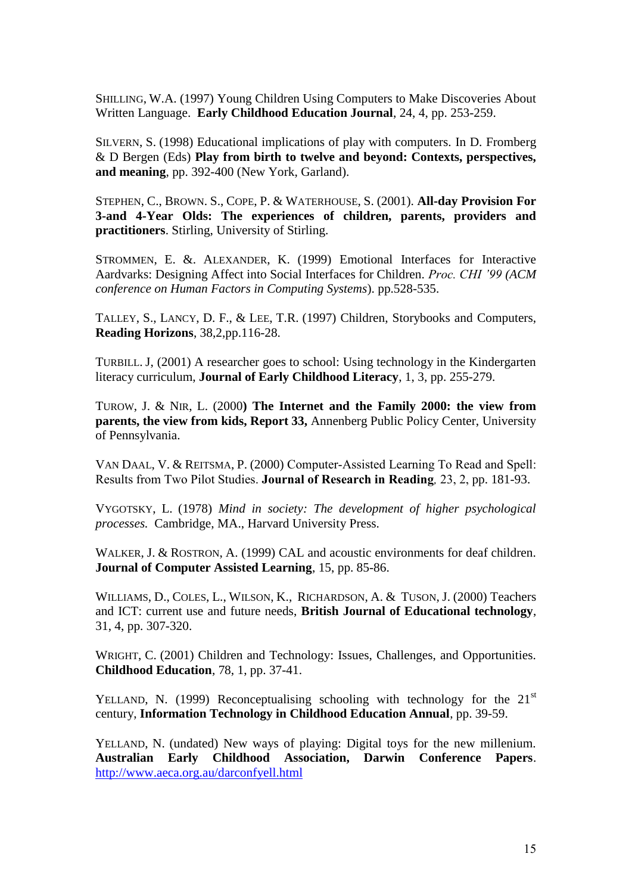SHILLING, W.A. (1997) Young Children Using Computers to Make Discoveries About Written Language. **Early Childhood Education Journal**, 24, 4, pp. 253-259.

SILVERN, S. (1998) Educational implications of play with computers. In D. Fromberg & D Bergen (Eds) **Play from birth to twelve and beyond: Contexts, perspectives, and meaning**, pp. 392-400 (New York, Garland).

STEPHEN, C., BROWN. S., COPE, P. & WATERHOUSE, S. (2001). **All-day Provision For 3-and 4-Year Olds: The experiences of children, parents, providers and practitioners**. Stirling, University of Stirling.

STROMMEN, E. &. ALEXANDER, K. (1999) Emotional Interfaces for Interactive Aardvarks: Designing Affect into Social Interfaces for Children. *Proc. CHI '99 (ACM conference on Human Factors in Computing Systems*). pp.528-535.

TALLEY, S., LANCY, D. F., & LEE, T.R. (1997) Children, Storybooks and Computers, **Reading Horizons**, 38,2,pp.116-28.

TURBILL. J, (2001) A researcher goes to school: Using technology in the Kindergarten literacy curriculum, **Journal of Early Childhood Literacy**, 1, 3, pp. 255-279.

TUROW, J. & NIR, L. (2000**) The Internet and the Family 2000: the view from parents, the view from kids, Report 33,** Annenberg Public Policy Center, University of Pennsylvania.

VAN DAAL, V. & REITSMA, P. (2000) Computer-Assisted Learning To Read and Spell: Results from Two Pilot Studies. **Journal of Research in Reading***,* 23, 2, pp. 181-93.

VYGOTSKY, L. (1978) *Mind in society: The development of higher psychological processes.* Cambridge, MA., Harvard University Press.

WALKER, J. & ROSTRON, A. (1999) CAL and acoustic environments for deaf children. **Journal of Computer Assisted Learning**, 15, pp. 85-86.

WILLIAMS, D., COLES, L., WILSON, K., RICHARDSON, A. & TUSON, J. (2000) Teachers and ICT: current use and future needs, **British Journal of Educational technology**, 31, 4, pp. 307-320.

WRIGHT, C. (2001) Children and Technology: Issues, Challenges, and Opportunities. **Childhood Education**, 78, 1, pp. 37-41.

YELLAND, N. (1999) Reconceptualising schooling with technology for the  $21<sup>st</sup>$ century, **Information Technology in Childhood Education Annual**, pp. 39-59.

YELLAND, N. (undated) New ways of playing: Digital toys for the new millenium. **Australian Early Childhood Association, Darwin Conference Papers**. <http://www.aeca.org.au/darconfyell.html>